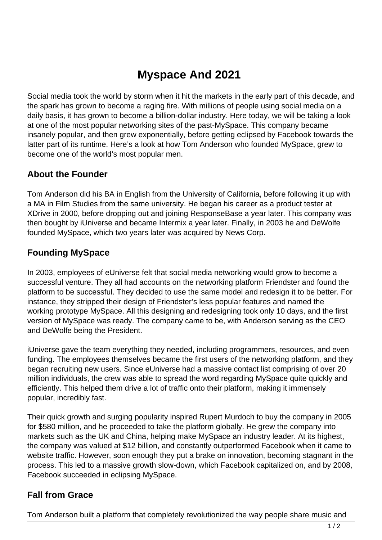# **Myspace And 2021**

Social media took the world by storm when it hit the markets in the early part of this decade, and the spark has grown to become a raging fire. With millions of people using social media on a daily basis, it has grown to become a billion-dollar industry. Here today, we will be taking a look at one of the most popular networking sites of the past-MySpace. This company became insanely popular, and then grew exponentially, before getting eclipsed by Facebook towards the latter part of its runtime. Here's a look at how Tom Anderson who founded MySpace, grew to become one of the world's most popular men.

### **About the Founder**

Tom Anderson did his BA in English from the University of California, before following it up with a MA in Film Studies from the same university. He began his career as a product tester at XDrive in 2000, before dropping out and joining ResponseBase a year later. This company was then bought by iUniverse and became Intermix a year later. Finally, in 2003 he and DeWolfe founded MySpace, which two years later was acquired by News Corp.

### **Founding MySpace**

In 2003, employees of eUniverse felt that social media networking would grow to become a successful venture. They all had accounts on the networking platform Friendster and found the platform to be successful. They decided to use the same model and redesign it to be better. For instance, they stripped their design of Friendster's less popular features and named the working prototype MySpace. All this designing and redesigning took only 10 days, and the first version of MySpace was ready. The company came to be, with Anderson serving as the CEO and DeWolfe being the President.

iUniverse gave the team everything they needed, including programmers, resources, and even funding. The employees themselves became the first users of the networking platform, and they began recruiting new users. Since eUniverse had a massive contact list comprising of over 20 million individuals, the crew was able to spread the word regarding MySpace quite quickly and efficiently. This helped them drive a lot of traffic onto their platform, making it immensely popular, incredibly fast.

Their quick growth and surging popularity inspired Rupert Murdoch to buy the company in 2005 for \$580 million, and he proceeded to take the platform globally. He grew the company into markets such as the UK and China, helping make MySpace an industry leader. At its highest, the company was valued at \$12 billion, and constantly outperformed Facebook when it came to website traffic. However, soon enough they put a brake on innovation, becoming stagnant in the process. This led to a massive growth slow-down, which Facebook capitalized on, and by 2008, Facebook succeeded in eclipsing MySpace.

#### **Fall from Grace**

Tom Anderson built a platform that completely revolutionized the way people share music and